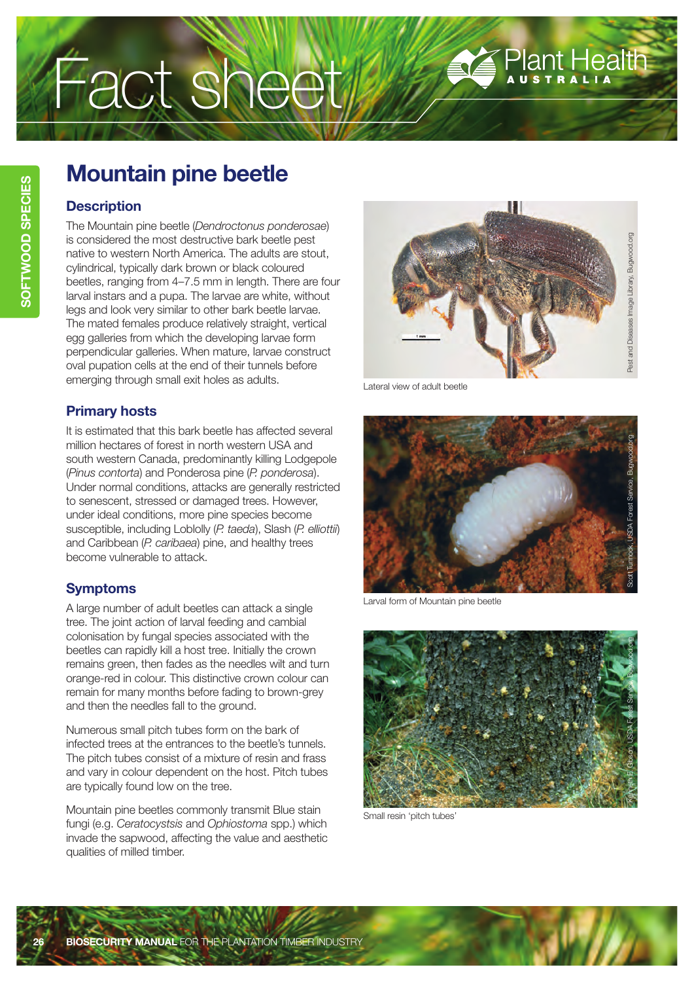# Fact sheet

# **Mountain pine beetle**

### **Description**

The Mountain pine beetle (*Dendroctonus ponderosae*) is considered the most destructive bark beetle pest native to western North America. The adults are stout, cylindrical, typically dark brown or black coloured beetles, ranging from 4–7.5 mm in length. There are four larval instars and a pupa. The larvae are white, without legs and look very similar to other bark beetle larvae. The mated females produce relatively straight, vertical egg galleries from which the developing larvae form perpendicular galleries. When mature, larvae construct oval pupation cells at the end of their tunnels before emerging through small exit holes as adults.

## **Primary hosts**

It is estimated that this bark beetle has affected several million hectares of forest in north western USA and south western Canada, predominantly killing Lodgepole (*Pinus contorta*) and Ponderosa pine (*P. ponderosa*). Under normal conditions, attacks are generally restricted to senescent, stressed or damaged trees. However, under ideal conditions, more pine species become susceptible, including Loblolly (*P. taeda*), Slash (*P. elliottii*) and Caribbean (*P. caribaea*) pine, and healthy trees become vulnerable to attack.

# **Symptoms**

A large number of adult beetles can attack a single tree. The joint action of larval feeding and cambial colonisation by fungal species associated with the beetles can rapidly kill a host tree. Initially the crown remains green, then fades as the needles wilt and turn orange-red in colour. This distinctive crown colour can remain for many months before fading to brown-grey and then the needles fall to the ground.

Numerous small pitch tubes form on the bark of infected trees at the entrances to the beetle's tunnels. The pitch tubes consist of a mixture of resin and frass and vary in colour dependent on the host. Pitch tubes are typically found low on the tree.

Mountain pine beetles commonly transmit Blue stain fungi (e.g. *Ceratocystsis* and *Ophiostoma* spp.) which invade the sapwood, affecting the value and aesthetic qualities of milled timber.



Plant Health

Lateral view of adult beetle



Larval form of Mountain pine beetle



Small resin 'pitch tubes'

**BECURITY MANUAL** FOR THE PLANTATION TIMBER INDUSTRY